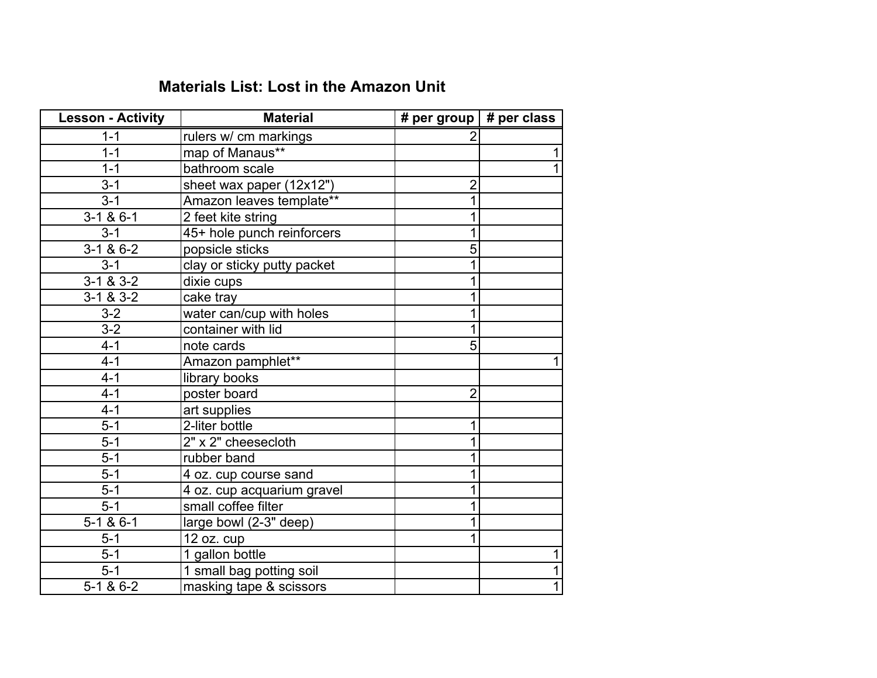## **Materials List: Lost in the Amazon Unit**

| <b>Lesson - Activity</b> | <b>Material</b>             | # per group   # per class |   |
|--------------------------|-----------------------------|---------------------------|---|
| $1 - 1$                  | rulers w/ cm markings       |                           |   |
| $1 - 1$                  | map of Manaus**             |                           |   |
| $1 - 1$                  | bathroom scale              |                           |   |
| $3 - 1$                  | sheet wax paper (12x12")    | $\overline{2}$            |   |
| $3 - 1$                  | Amazon leaves template**    |                           |   |
| $3-1$ & 6-1              | 2 feet kite string          | 1                         |   |
| $3 - 1$                  | 45+ hole punch reinforcers  |                           |   |
| $3-1 & 8 & 6-2$          | popsicle sticks             | 5                         |   |
| $3 - 1$                  | clay or sticky putty packet |                           |   |
| $3-1 & 8 & 3-2$          | dixie cups                  | 1                         |   |
| $3-1 & 8 & 3-2$          | cake tray                   |                           |   |
| $3 - 2$                  | water can/cup with holes    |                           |   |
| $3-2$                    | container with lid          |                           |   |
| $4 - 1$                  | note cards                  | 5                         |   |
| $4 - 1$                  | Amazon pamphlet**           |                           |   |
| $4 - 1$                  | library books               |                           |   |
| $4 - 1$                  | poster board                | $\overline{2}$            |   |
| $4 - 1$                  | art supplies                |                           |   |
| $5 - 1$                  | 2-liter bottle              | 1                         |   |
| $5-1$                    | 2" x 2" cheesecloth         |                           |   |
| $5 - 1$                  | rubber band                 |                           |   |
| $5 - 1$                  | 4 oz. cup course sand       |                           |   |
| $5-1$                    | 4 oz. cup acquarium gravel  |                           |   |
| $5-1$                    | small coffee filter         |                           |   |
| $5-1 & 8 & 6-1$          | large bowl (2-3" deep)      |                           |   |
| $5 - 1$                  | 12 oz. cup                  |                           |   |
| $5-1$                    | 1 gallon bottle             |                           | 1 |
| $5 - 1$                  | 1 small bag potting soil    |                           | 1 |
| $5-1 & 8 & 6-2$          | masking tape & scissors     |                           | 1 |